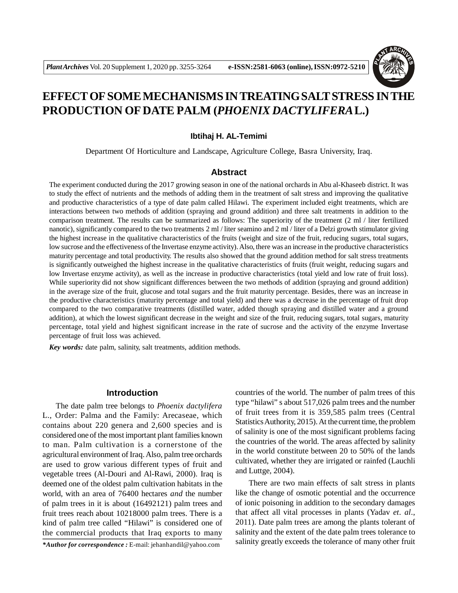

# **EFFECT OF SOME MECHANISMS IN TREATING SALT STRESS IN THE PRODUCTION OF DATE PALM (***PHOENIX DACTYLIFERA***L.)**

# **Ibtihaj H. AL-Temimi**

Department Of Horticulture and Landscape, Agriculture College, Basra University, Iraq.

# **Abstract**

The experiment conducted during the 2017 growing season in one of the national orchards in Abu al-Khaseeb district. It was to study the effect of nutrients and the methods of adding them in the treatment of salt stress and improving the qualitative and productive characteristics of a type of date palm called Hilawi. The experiment included eight treatments, which are interactions between two methods of addition (spraying and ground addition) and three salt treatments in addition to the comparison treatment. The results can be summarized as follows: The superiority of the treatment (2 ml / liter fertilized nanotic), significantly compared to the two treatments 2 ml / liter seamino and 2 ml / liter of a Delzi growth stimulator giving the highest increase in the qualitative characteristics of the fruits (weight and size of the fruit, reducing sugars, total sugars, low sucrose and the effectiveness of the Invertase enzyme activity). Also, there was an increase in the productive characteristics maturity percentage and total productivity. The results also showed that the ground addition method for salt stress treatments is significantly outweighed the highest increase in the qualitative characteristics of fruits (fruit weight, reducing sugars and low Invertase enzyme activity), as well as the increase in productive characteristics (total yield and low rate of fruit loss). While superiority did not show significant differences between the two methods of addition (spraying and ground addition) in the average size of the fruit, glucose and total sugars and the fruit maturity percentage. Besides, there was an increase in the productive characteristics (maturity percentage and total yield) and there was a decrease in the percentage of fruit drop compared to the two comparative treatments (distilled water, added though spraying and distilled water and a ground addition), at which the lowest significant decrease in the weight and size of the fruit, reducing sugars, total sugars, maturity percentage, total yield and highest significant increase in the rate of sucrose and the activity of the enzyme Invertase percentage of fruit loss was achieved.

*Key words:* date palm, salinity, salt treatments, addition methods.

## **Introduction**

The date palm tree belongs to *Phoenix dactylifera* L., Order: Palma and the Family: Arecaseae, which contains about 220 genera and 2,600 species and is considered one of the most important plant families known to man. Palm cultivation is a cornerstone of the agricultural environment of Iraq. Also, palm tree orchards are used to grow various different types of fruit and vegetable trees (Al-Douri and Al-Rawi, 2000). Iraq is deemed one of the oldest palm cultivation habitats in the world, with an area of 76400 hectares *and* the number of palm trees in it is about (16492121) palm trees and fruit trees reach about 10218000 palm trees. There is a kind of palm tree called "Hilawi" is considered one of the commercial products that Iraq exports to many

countries of the world. The number of palm trees of this type "hilawi" s about 517,026 palm trees and the number of fruit trees from it is 359,585 palm trees (Central Statistics Authority, 2015). At the current time, the problem of salinity is one of the most significant problems facing the countries of the world. The areas affected by salinity in the world constitute between 20 to 50% of the lands cultivated, whether they are irrigated or rainfed (Lauchli and Luttge, 2004).

There are two main effects of salt stress in plants like the change of osmotic potential and the occurrence of ionic poisoning in addition to the secondary damages that affect all vital processes in plants (Yadav *et. al.*, 2011). Date palm trees are among the plants tolerant of salinity and the extent of the date palm trees tolerance to salinity greatly exceeds the tolerance of many other fruit

*<sup>\*</sup>Author for correspondence :* E-mail: jehanhandil@yahoo.com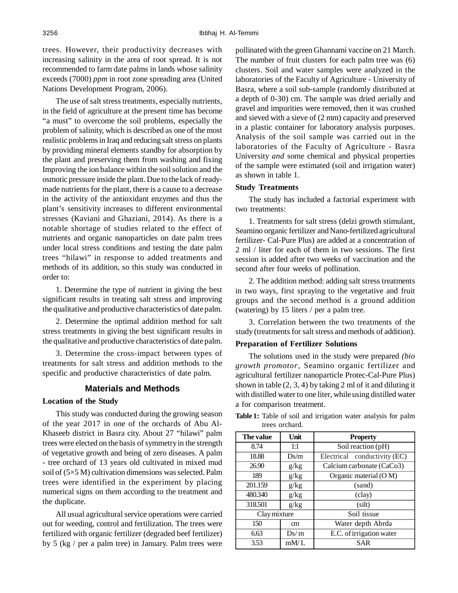trees. However, their productivity decreases with increasing salinity in the area of root spread. It is not recommended to farm date palms in lands whose salinity exceeds (7000) *ppm* in root zone spreading area (United Nations Development Program, 2006).

The use of salt stress treatments, especially nutrients, in the field of agriculture at the present time has become "a must" to overcome the soil problems, especially the problem of salinity, which is described as one of the most realistic problems in Iraq and reducing salt stress on plants by providing mineral elements standby for absorption by the plant and preserving them from washing and fixing Improving the ion balance within the soil solution and the osmotic pressure inside the plant. Due to the lack of readymade nutrients for the plant, there is a cause to a decrease in the activity of the antioxidant enzymes and thus the plant's sensitivity increases to different environmental stresses (Kaviani and Ghaziani, 2014). As there is a notable shortage of studies related to the effect of nutrients and organic nanoparticles on date palm trees under local stress conditions and testing the date palm trees "hilawi" in response to added treatments and methods of its addition, so this study was conducted in order to:

1. Determine the type of nutrient in giving the best significant results in treating salt stress and improving the qualitative and productive characteristics of date palm.

2. Determine the optimal addition method for salt stress treatments in giving the best significant results in the qualitative and productive characteristics of date palm.

3. Determine the cross-impact between types of treatments for salt stress and addition methods to the specific and productive characteristics of date palm.

# **Materials and Methods**

#### **Location of the Study**

This study was conducted during the growing season of the year 2017 in one of the orchards of Abu Al-Khaseeb district in Basra city. About 27 "hilawi" palm trees were elected on the basis of symmetry in the strength of vegetative growth and being of zero diseases. A palm - tree orchard of 13 years old cultivated in mixed mud soil of (5×5 M) cultivation dimensions was selected. Palm trees were identified in the experiment by placing numerical signs on them according to the treatment and the duplicate.

All usual agricultural service operations were carried out for weeding, control and fertilization. The trees were fertilized with organic fertilizer (degraded beef fertilizer) by 5 (kg / per a palm tree) in January. Palm trees were pollinated with the green Ghannami vaccine on 21 March. The number of fruit clusters for each palm tree was (6) clusters. Soil and water samples were analyzed in the laboratories of the Faculty of Agriculture - University of Basra, where a soil sub-sample (randomly distributed at a depth of 0-30) cm. The sample was dried aerially and gravel and impurities were removed, then it was crushed and sieved with a sieve of (2 mm) capacity and preserved in a plastic container for laboratory analysis purposes. Analysis of the soil sample was carried out in the laboratories of the Faculty of Agriculture - Basra University *and* some chemical and physical properties of the sample were estimated (soil and irrigation water) as shown in table 1.

#### **Study Treatments**

The study has included a factorial experiment with two treatments:

1. Treatments for salt stress (delzi growth stimulant, Seamino organic fertilizer and Nano-fertilized agricultural fertilizer- Cal-Pure Plus) are added at a concentration of 2 ml / liter for each of them in two sessions. The first session is added after two weeks of vaccination and the second after four weeks of pollination.

2. The addition method: adding salt stress treatments in two ways, first spraying to the vegetative and fruit groups and the second method is a ground addition (watering) by 15 liters / per a palm tree.

3. Correlation between the two treatments of the study (treatments for salt stress and methods of addition).

#### **Preparation of Fertilizer Solutions**

The solutions used in the study were prepared *(bio growth promotor*, Seamino organic fertilizer and agricultural fertilizer nanoparticle Protec-Cal-Pure Plus) shown in table (2, 3, 4) by taking 2 ml of it and diluting it with distilled water to one liter, while using distilled water a for comparison treatment.

| The value    | Unit | <b>Property</b>              |
|--------------|------|------------------------------|
| 8.74         | 1:1  | Soil reaction (pH)           |
| 18.88        | Ds/m | Electrical conductivity (EC) |
| 26.90        | g/kg | Calcium carbonate (CaCo3)    |
| 189          | g/kg | Organic material (O M)       |
| 201.159      | g/kg | (sand)                       |
| 480.340      | g/kg | (clay)                       |
| 318.501      | g/kg | (silt)                       |
| Clay mixture |      | Soil tissue                  |
| 150          | cm   | Water depth Abrda            |
| 6.63         | Ds/m | E.C. of irrigation water     |
| 3.53         | mM/L | SAR                          |

**Table 1:** Table of soil and irrigation water analysis for palm trees orchard.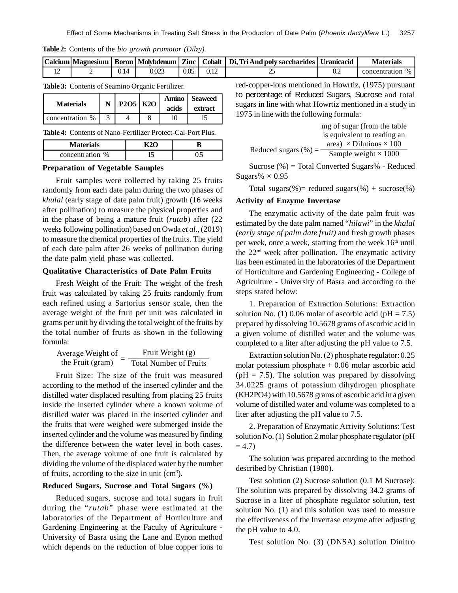| Table 2: Contents of the bio growth promotor (Dilzy). |  |  |  |  |  |
|-------------------------------------------------------|--|--|--|--|--|
|-------------------------------------------------------|--|--|--|--|--|

|  | Calcium   Magnesium |      | Boron   Molvbdenum | Zinc |       | Cobalt   Di. Tri And poly saccharides   Uranicacid |     | Materials     |
|--|---------------------|------|--------------------|------|-------|----------------------------------------------------|-----|---------------|
|  |                     | 9.14 | 0.023              | 0.05 | J. 12 | ∼                                                  | U.Z | concentration |

**Table 3:** Contents of Seamino Organic Fertilizer.

| <b>Materials</b> | $P2O5$ K <sub>2</sub> O | Amino<br>acids | <b>Seaweed</b><br>extract |
|------------------|-------------------------|----------------|---------------------------|
| concentration %  |                         |                |                           |

**Table 4:** Contents of Nano-Fertilizer Protect-Cal-Port Plus.

**Materials K2O B** concentration % 15 0.5

# **Preparation of Vegetable Samples**

Fruit samples were collected by taking 25 fruits randomly from each date palm during the two phases of *khulal* (early stage of date palm fruit) growth (16 weeks after pollination) to measure the physical properties and in the phase of being a mature fruit (*rutab*) after (22 weeks following pollination) based on Owda *et al*., (2019) to measure the chemical properties of the fruits. The yield of each date palm after 26 weeks of pollination during the date palm yield phase was collected.

# **Qualitative Characteristics of Date Palm Fruits**

Fresh Weight of the Fruit: The weight of the fresh fruit was calculated by taking 25 fruits randomly from each refined using a Sartorius sensor scale, then the average weight of the fruit per unit was calculated in grams per unit by dividing the total weight of the fruits by the total number of fruits as shown in the following formula:

| Average Weight of | Fruit Weight (g)              |
|-------------------|-------------------------------|
| the Fruit (gram)  | <b>Total Number of Fruits</b> |

Fruit Size: The size of the fruit was measured according to the method of the inserted cylinder and the distilled water displaced resulting from placing 25 fruits inside the inserted cylinder where a known volume of distilled water was placed in the inserted cylinder and the fruits that were weighed were submerged inside the inserted cylinder and the volume was measured by finding the difference between the water level in both cases. Then, the average volume of one fruit is calculated by dividing the volume of the displaced water by the number of fruits, according to the size in unit  $(cm<sup>3</sup>)$ .

## **Reduced Sugars, Sucrose and Total Sugars (%)**

Reduced sugars, sucrose and total sugars in fruit during the "*rutab*" phase were estimated at the laboratories of the Department of Horticulture and Gardening Engineering at the Faculty of Agriculture - University of Basra using the Lane and Eynon method which depends on the reduction of blue copper ions to

red-copper-ions mentioned in Howrtiz, (1975) pursuant to percentage of Reduced Sugars, Sucrose and total sugars in line with what Howrtiz mentioned in a study in 1975 in line with the following formula:

Reduced sugars  $(\%) = \frac{2.2 \times 1000 \text{ m/s}}{2.5 \times 1000 \text{ s}}$ mg of sugar (from the table is equivalent to reading an area)  $\times$  Dilutions  $\times$  100

Sucrose (%) = Total Converted Sugars% - Reduced Sugars%  $\times$  0.95

Total sugars(%)= reduced sugars(%) + sucrose(%)

#### **Activity of Enzyme Invertase**

The enzymatic activity of the date palm fruit was estimated by the date palm named "*hilawi*" in the *khalal (early stage of palm date fruit)* and fresh growth phases per week, once a week, starting from the week 16<sup>th</sup> until the  $22<sup>nd</sup>$  week after pollination. The enzymatic activity has been estimated in the laboratories of the Department of Horticulture and Gardening Engineering - College of Agriculture - University of Basra and according to the steps stated below:

1. Preparation of Extraction Solutions: Extraction solution No. (1) 0.06 molar of ascorbic acid ( $pH = 7.5$ ) prepared by dissolving 10.5678 grams of ascorbic acid in a given volume of distilled water and the volume was completed to a liter after adjusting the pH value to 7.5.

Extraction solution No. (2) phosphate regulator: 0.25 molar potassium phosphate  $+0.06$  molar ascorbic acid  $(pH = 7.5)$ . The solution was prepared by dissolving 34.0225 grams of potassium dihydrogen phosphate (KH2PO4) with 10.5678 grams of ascorbic acid in a given volume of distilled water and volume was completed to a liter after adjusting the pH value to 7.5.

2. Preparation of Enzymatic Activity Solutions: Test solution No. (1) Solution 2 molar phosphate regulator (pH  $= 4.7$ 

The solution was prepared according to the method described by Christian (1980).

Test solution (2) Sucrose solution (0.1 M Sucrose): The solution was prepared by dissolving 34.2 grams of Sucrose in a liter of phosphate regulator solution, test solution No. (1) and this solution was used to measure the effectiveness of the Invertase enzyme after adjusting the pH value to 4.0.

Test solution No. (3) (DNSA) solution Dinitro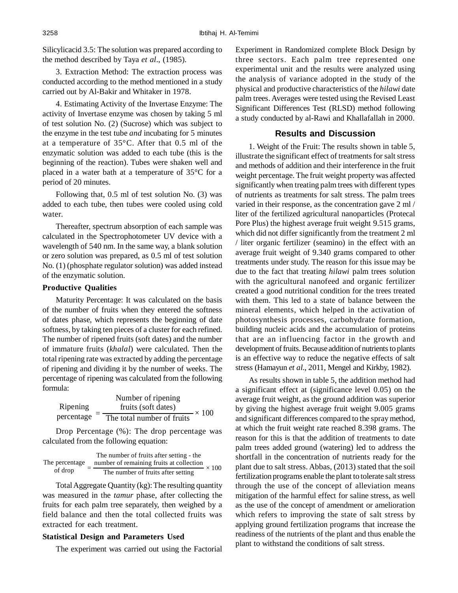Silicylicacid 3.5: The solution was prepared according to the method described by Taya *et al*., (1985).

3. Extraction Method: The extraction process was conducted according to the method mentioned in a study carried out by Al-Bakir and Whitaker in 1978.

4. Estimating Activity of the Invertase Enzyme: The activity of Invertase enzyme was chosen by taking 5 ml of test solution No. (2) (Sucrose) which was subject to the enzyme in the test tube *and* incubating for 5 minutes at a temperature of 35°C. After that 0.5 ml of the enzymatic solution was added to each tube (this is the beginning of the reaction). Tubes were shaken well and placed in a water bath at a temperature of 35°C for a period of 20 minutes.

Following that, 0.5 ml of test solution No. (3) was added to each tube, then tubes were cooled using cold water.

Thereafter, spectrum absorption of each sample was calculated in the Spectrophotometer UV device with a wavelength of 540 nm. In the same way, a blank solution or zero solution was prepared, as 0.5 ml of test solution No. (1) (phosphate regulator solution) was added instead of the enzymatic solution.

## **Productive Qualities**

Maturity Percentage: It was calculated on the basis of the number of fruits when they entered the softness of dates phase, which represents the beginning of date softness, by taking ten pieces of a cluster for each refined. The number of ripened fruits (soft dates) and the number of immature fruits (*khalal*) were calculated. Then the total ripening rate was extracted by adding the percentage of ripening and dividing it by the number of weeks. The percentage of ripening was calculated from the following formula:

Ripening percentage  $=$  The total number of fruits  $\times$  100 Number of ripening fruits (soft dates) =

Drop Percentage (%): The drop percentage was calculated from the following equation:

The number of fruits after setting - the  
of drop = 
$$
\frac{\text{The number of remaining fruits at collection}}{\text{The number of fruits after setting}} \times 100
$$

Total Aggregate Quantity (kg): The resulting quantity was measured in the *tamur* phase, after collecting the fruits for each palm tree separately, then weighed by a field balance and then the total collected fruits was extracted for each treatment.

### **Statistical Design and Parameters Used**

The experiment was carried out using the Factorial

Experiment in Randomized complete Block Design by three sectors. Each palm tree represented one experimental unit and the results were analyzed using the analysis of variance adopted in the study of the physical and productive characteristics of the *hilawi* date palm trees. Averages were tested using the Revised Least Significant Differences Test (RLSD) method following a study conducted by al-Rawi and Khallafallah in 2000.

## **Results and Discussion**

1. Weight of the Fruit: The results shown in table 5, illustrate the significant effect of treatments for salt stress and methods of addition and their interference in the fruit weight percentage. The fruit weight property was affected significantly when treating palm trees with different types of nutrients as treatments for salt stress. The palm trees varied in their response, as the concentration gave 2 ml / liter of the fertilized agricultural nanoparticles (Protecal Pore Plus) the highest average fruit weight 9.515 grams, which did not differ significantly from the treatment 2 ml / liter organic fertilizer (seamino) in the effect with an average fruit weight of 9.340 grams compared to other treatments under study. The reason for this issue may be due to the fact that treating *hilawi* palm trees solution with the agricultural nanofeed and organic fertilizer created a good nutritional condition for the trees treated with them. This led to a state of balance between the mineral elements, which helped in the activation of photosynthesis processes, carbohydrate formation, building nucleic acids and the accumulation of proteins that are an influencing factor in the growth and development of fruits. Because addition of nutrients to plants is an effective way to reduce the negative effects of salt stress (Hamayun *et al.*, 2011, Mengel and Kirkby, 1982).

As results shown in table 5, the addition method had a significant effect at (significance level 0.05) on the average fruit weight, as the ground addition was superior by giving the highest average fruit weight 9.005 grams and significant differences compared to the spray method, at which the fruit weight rate reached 8.398 grams. The reason for this is that the addition of treatments to date palm trees added ground (watering) led to address the shortfall in the concentration of nutrients ready for the plant due to salt stress. Abbas, (2013) stated that the soil fertilization programs enable the plant to tolerate salt stress through the use of the concept of alleviation means mitigation of the harmful effect for saline stress, as well as the use of the concept of amendment or amelioration which refers to improving the state of salt stress by applying ground fertilization programs that increase the readiness of the nutrients of the plant and thus enable the plant to withstand the conditions of salt stress.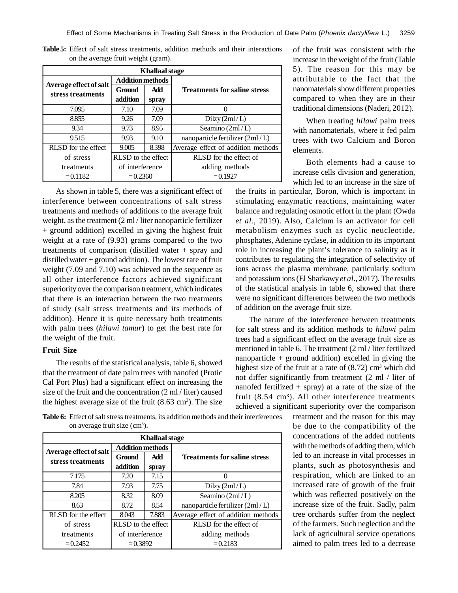| <b>Khallaal stage</b>  |                         |       |                                     |  |  |  |
|------------------------|-------------------------|-------|-------------------------------------|--|--|--|
| Average effect of salt | <b>Addition methods</b> |       |                                     |  |  |  |
| stress treatments      | Ground                  | Add   | <b>Treatments for saline stress</b> |  |  |  |
|                        | addition                | spray |                                     |  |  |  |
| 7.095                  | 7.10                    | 7.09  |                                     |  |  |  |
| 8.855                  | 9.26                    | 7.09  | Dilzy(2ml/L)                        |  |  |  |
| 9.34                   | 9.73                    | 8.95  | Seamino (2ml/L)                     |  |  |  |
| 9.515                  | 9.93                    | 9.10  | nanoparticle fertilizer (2ml/L)     |  |  |  |
| RLSD for the effect    | 9.005                   | 8.398 | Average effect of addition methods  |  |  |  |
| of stress              | RLSD to the effect      |       | RLSD for the effect of              |  |  |  |
| treatments             | of interference         |       | adding methods                      |  |  |  |
| $= 0.1182$             | $= 0.2360$              |       | $= 0.1927$                          |  |  |  |

**Table 5:** Effect of salt stress treatments, addition methods and their interactions on the average fruit weight (gram).

As shown in table 5, there was a significant effect of interference between concentrations of salt stress treatments and methods of additions to the average fruit weight, as the treatment (2 ml / liter nanoparticle fertilizer + ground addition) excelled in giving the highest fruit weight at a rate of (9.93) grams compared to the two treatments of comparison (distilled water + spray and distilled water + ground addition). The lowest rate of fruit weight (7.09 and 7.10) was achieved on the sequence as all other interference factors achieved significant superiority over the comparison treatment, which indicates that there is an interaction between the two treatments of study (salt stress treatments and its methods of addition). Hence it is quite necessary both treatments with palm trees (*hilawi tamur*) to get the best rate for the weight of the fruit.

# **Fruit Size**

The results of the statistical analysis, table 6, showed that the treatment of date palm trees with nanofed (Protic Cal Port Plus) had a significant effect on increasing the size of the fruit and the concentration (2 ml / liter) caused the highest average size of the fruit  $(8.63 \text{ cm}^3)$ . The size of the fruit was consistent with the increase in the weight of the fruit (Table 5). The reason for this may be attributable to the fact that the nanomaterials show different properties compared to when they are in their traditional dimensions (Naderi, 2012).

When treating *hilawi* palm trees with nanomaterials, where it fed palm trees with two Calcium and Boron elements.

Both elements had a cause to increase cells division and generation, which led to an increase in the size of

the fruits in particular, Boron, which is important in stimulating enzymatic reactions, maintaining water balance and regulating osmotic effort in the plant (Owda *et al.*, 2019). Also, Calcium is an activator for cell metabolism enzymes such as cyclic neucleotide, phosphates, Adenine cyclase, in addition to its important role in increasing the plant's tolerance to salinity as it contributes to regulating the integration of selectivity of ions across the plasma membrane, particularly sodium and potassium ions (El Sharkawy *et al*., 2017). The results of the statistical analysis in table 6, showed that there were no significant differences between the two methods of addition on the average fruit size.

The nature of the interference between treatments for salt stress and its addition methods to *hilawi* palm trees had a significant effect on the average fruit size as mentioned in table 6. The treatment (2 ml / liter fertilized nanoparticle  $+$  ground addition) excelled in giving the highest size of the fruit at a rate of  $(8.72)$  cm<sup>3</sup> which did not differ significantly from treatment (2 ml / liter of nanofed fertilized  $+$  spray) at a rate of the size of the fruit  $(8.54 \text{ cm}^3)$ . All other interference treatments achieved a significant superiority over the comparison

> treatment and the reason for this may be due to the compatibility of the concentrations of the added nutrients with the methods of adding them, which led to an increase in vital processes in plants, such as photosynthesis and respiration, which are linked to an increased rate of growth of the fruit which was reflected positively on the increase size of the fruit. Sadly, palm tree orchards suffer from the neglect of the farmers. Such neglection and the lack of agricultural service operations aimed to palm trees led to a decrease

**Table 6:** Effect of salt stress treatments, its addition methods and their interferences on average fruit size  $(cm<sup>3</sup>)$ .

| <b>Khallaal stage</b>  |                         |       |                                     |  |  |  |
|------------------------|-------------------------|-------|-------------------------------------|--|--|--|
| Average effect of salt | <b>Addition methods</b> |       |                                     |  |  |  |
| stress treatments      | Ground                  | Add   | <b>Treatments for saline stress</b> |  |  |  |
|                        | addition                | spray |                                     |  |  |  |
| 7.175                  | 7.20                    | 7.15  |                                     |  |  |  |
| 7.84                   | 7.93                    | 7.75  | Dilzy(2ml/L)                        |  |  |  |
| 8.205                  | 8.32                    | 8.09  | Seamino $(2ml/L)$                   |  |  |  |
| 8.63                   | 8.72                    | 8.54  | nanoparticle fertilizer $(2ml/L)$   |  |  |  |
| RLSD for the effect    | 8.043                   | 7.883 | Average effect of addition methods  |  |  |  |
| of stress              | RLSD to the effect.     |       | RLSD for the effect of              |  |  |  |
| treatments             | of interference         |       | adding methods                      |  |  |  |
| $= 0.2452$             | $= 0.3892$              |       | $= 0.2183$                          |  |  |  |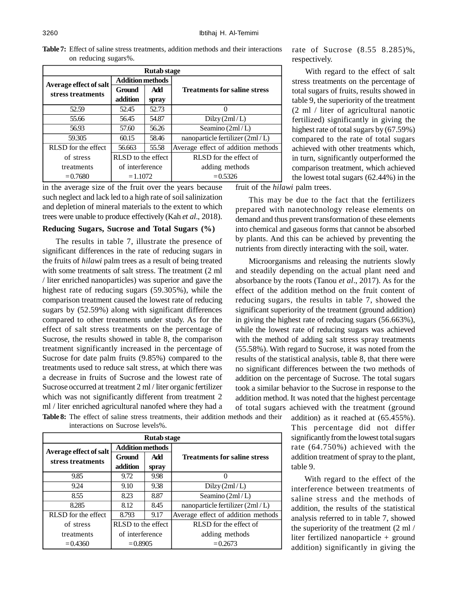| <b>Rutab</b> stage     |                         |       |                                     |  |  |  |
|------------------------|-------------------------|-------|-------------------------------------|--|--|--|
| Average effect of salt | <b>Addition methods</b> |       |                                     |  |  |  |
| stress treatments      | Ground                  | Add   | <b>Treatments for saline stress</b> |  |  |  |
|                        | addition                | spray |                                     |  |  |  |
| 52.59                  | 52.45                   | 52.73 |                                     |  |  |  |
| 55.66                  | 56.45                   | 54.87 | Dilzy(2ml/L)                        |  |  |  |
| 56.93                  | 57.60                   | 56.26 | Seamino $(2ml/L)$                   |  |  |  |
| 59.305                 | 60.15                   | 58.46 | nanoparticle fertilizer $(2ml/L)$   |  |  |  |
| RLSD for the effect    | 56.663                  | 55.58 | Average effect of addition methods  |  |  |  |
| of stress              | RLSD to the effect      |       | RLSD for the effect of              |  |  |  |
| treatments             | of interference         |       | adding methods                      |  |  |  |
| $= 0.7680$             | $=1.1072$               |       | $= 0.5326$                          |  |  |  |

**Table 7:** Effect of saline stress treatments, addition methods and their interactions on reducing sugars%.

in the average size of the fruit over the years because such neglect and lack led to a high rate of soil salinization and depletion of mineral materials to the extent to which trees were unable to produce effectively (Kah *et al*., 2018).

#### **Reducing Sugars, Sucrose and Total Sugars (%)**

The results in table 7, illustrate the presence of significant differences in the rate of reducing sugars in the fruits of *hilawi* palm trees as a result of being treated with some treatments of salt stress. The treatment (2 ml / liter enriched nanoparticles) was superior and gave the highest rate of reducing sugars (59.305%), while the comparison treatment caused the lowest rate of reducing sugars by (52.59%) along with significant differences compared to other treatments under study. As for the effect of salt stress treatments on the percentage of Sucrose, the results showed in table 8, the comparison treatment significantly increased in the percentage of Sucrose for date palm fruits (9.85%) compared to the treatments used to reduce salt stress, at which there was a decrease in fruits of Sucrose and the lowest rate of Sucrose occurred at treatment 2 ml / liter organic fertilizer which was not significantly different from treatment 2 ml / liter enriched agricultural nanofed where they had a **Table 8:** The effect of saline stress treatments, their addition methods and their

| <b>Rutab</b> stage     |                         |       |                                     |  |  |  |
|------------------------|-------------------------|-------|-------------------------------------|--|--|--|
| Average effect of salt | <b>Addition methods</b> |       |                                     |  |  |  |
| stress treatments      | Ground                  | Add   | <b>Treatments for saline stress</b> |  |  |  |
|                        | addition                | spray |                                     |  |  |  |
| 9.85                   | 9.72                    | 9.98  |                                     |  |  |  |
| 9.24                   | 9.10                    | 9.38  | Dilzy(2ml/L)                        |  |  |  |
| 8.55                   | 8.23                    | 8.87  | Seamino (2ml/L)                     |  |  |  |
| 8.285                  | 8.12                    | 8.45  | nanoparticle fertilizer (2ml/L)     |  |  |  |
| RLSD for the effect    | 8.793                   | 9.17  | Average effect of addition methods  |  |  |  |
| of stress              | RLSD to the effect      |       | RLSD for the effect of              |  |  |  |
| treatments             | of interference         |       | adding methods                      |  |  |  |
| $= 0.4360$             | $= 0.8905$              |       | $= 0.2673$                          |  |  |  |

interactions on Sucrose levels%.

rate of Sucrose (8.55 8.285)%, respectively.

With regard to the effect of salt stress treatments on the percentage of total sugars of fruits, results showed in table 9, the superiority of the treatment (2 ml / liter of agricultural nanotic fertilized) significantly in giving the highest rate of total sugars by (67.59%) compared to the rate of total sugars achieved with other treatments which, in turn, significantly outperformed the comparison treatment, which achieved the lowest total sugars (62.44%) in the

fruit of the *hilawi* palm trees.

This may be due to the fact that the fertilizers prepared with nanotechnology release elements on demand and thus prevent transformation of these elements into chemical and gaseous forms that cannot be absorbed by plants. And this can be achieved by preventing the nutrients from directly interacting with the soil, water.

Microorganisms and releasing the nutrients slowly and steadily depending on the actual plant need and absorbance by the roots (Tanou *et al*., 2017). As for the effect of the addition method on the fruit content of reducing sugars, the results in table 7, showed the significant superiority of the treatment (ground addition) in giving the highest rate of reducing sugars (56.663%), while the lowest rate of reducing sugars was achieved with the method of adding salt stress spray treatments (55.58%). With regard to Sucrose, it was noted from the results of the statistical analysis, table 8, that there were no significant differences between the two methods of addition on the percentage of Sucrose. The total sugars took a similar behavior to the Sucrose in response to the addition method. It was noted that the highest percentage of total sugars achieved with the treatment (ground

> addition) as it reached at (65.455%). This percentage did not differ significantly from the lowest total sugars rate (64.750%) achieved with the addition treatment of spray to the plant, table 9.

> With regard to the effect of the interference between treatments of saline stress and the methods of addition, the results of the statistical analysis referred to in table 7, showed the superiority of the treatment (2 ml / liter fertilized nanoparticle + ground addition) significantly in giving the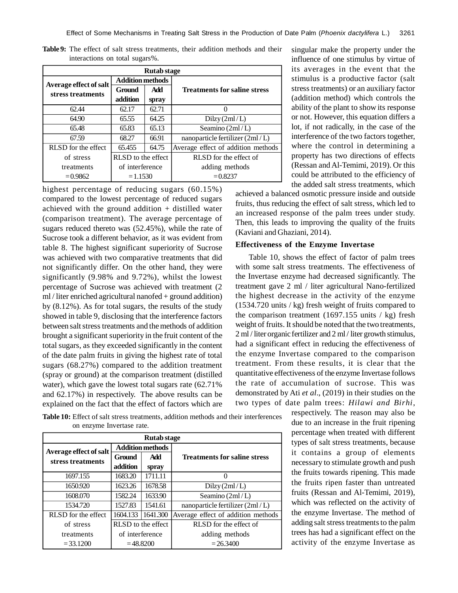| <b>Rutab</b> stage     |                         |       |                                     |  |  |
|------------------------|-------------------------|-------|-------------------------------------|--|--|
| Average effect of salt | <b>Addition methods</b> |       |                                     |  |  |
| stress treatments      | Ground                  | Add   | <b>Treatments for saline stress</b> |  |  |
|                        | addition                | spray |                                     |  |  |
| 62.44                  | 62.17                   | 62.71 |                                     |  |  |
| 64.90                  | 65.55                   | 64.25 | Dilzy(2ml/L)                        |  |  |
| 65.48                  | 65.83                   | 65.13 | Seamino (2ml/L)                     |  |  |
| 67.59                  | 68.27                   | 66.91 | nanoparticle fertilizer $(2ml/L)$   |  |  |
| RLSD for the effect    | 65.455                  | 64.75 | Average effect of addition methods  |  |  |
| of stress              | RLSD to the effect      |       | RLSD for the effect of              |  |  |
| treatments             | of interference         |       | adding methods                      |  |  |
| $= 0.9862$             | $=1.1530$               |       | $= 0.8237$                          |  |  |

**Table 9:** The effect of salt stress treatments, their addition methods and their interactions on total sugars%.

highest percentage of reducing sugars (60.15%) compared to the lowest percentage of reduced sugars achieved with the ground addition  $+$  distilled water (comparison treatment). The average percentage of sugars reduced thereto was (52.45%), while the rate of Sucrose took a different behavior, as it was evident from table 8. The highest significant superiority of Sucrose was achieved with two comparative treatments that did not significantly differ. On the other hand, they were significantly (9.98% and 9.72%), whilst the lowest percentage of Sucrose was achieved with treatment (2 ml / liter enriched agricultural nanofed + ground addition) by (8.12%). As for total sugars, the results of the study showed in table 9, disclosing that the interference factors between salt stress treatments and the methods of addition brought a significant superiority in the fruit content of the total sugars, as they exceeded significantly in the content of the date palm fruits in giving the highest rate of total sugars (68.27%) compared to the addition treatment (spray or ground) at the comparison treatment (distilled water), which gave the lowest total sugars rate (62.71% and 62.17%) in respectively. The above results can be explained on the fact that the effect of factors which are

singular make the property under the influence of one stimulus by virtue of its averages in the event that the stimulus is a productive factor (salt stress treatments) or an auxiliary factor (addition method) which controls the ability of the plant to show its response or not. However, this equation differs a lot, if not radically, in the case of the interference of the two factors together, where the control in determining a property has two directions of effects (Ressan and Al-Temimi, 2019). Or this could be attributed to the efficiency of the added salt stress treatments, which

achieved a balanced osmotic pressure inside and outside fruits, thus reducing the effect of salt stress, which led to an increased response of the palm trees under study. Then, this leads to improving the quality of the fruits (Kaviani and Ghaziani, 2014).

#### **Effectiveness of the Enzyme Invertase**

Table 10, shows the effect of factor of palm trees with some salt stress treatments. The effectiveness of the Invertase enzyme had decreased significantly. The treatment gave 2 ml / liter agricultural Nano-fertilized the highest decrease in the activity of the enzyme (1534.720 units / kg) fresh weight of fruits compared to the comparison treatment  $(1697.155 \text{ units} / \text{kg})$  fresh weight of fruits. It should be noted that the two treatments, 2 ml / liter organic fertilizer and 2 ml / liter growth stimulus, had a significant effect in reducing the effectiveness of the enzyme Invertase compared to the comparison treatment. From these results, it is clear that the quantitative effectiveness of the enzyme Invertase follows the rate of accumulation of sucrose. This was demonstrated by Ati *et al*., (2019) in their studies on the two types of date palm trees: *Hilawi and Birhi*,

> respectively. The reason may also be due to an increase in the fruit ripening percentage when treated with different types of salt stress treatments, because it contains a group of elements necessary to stimulate growth and push the fruits towards ripening. This made the fruits ripen faster than untreated fruits (Ressan and Al-Temimi, 2019), which was reflected on the activity of the enzyme Invertase. The method of adding salt stress treatments to the palm trees has had a significant effect on the activity of the enzyme Invertase as

**Table 10:** Effect of salt stress treatments, addition methods and their interferences on enzyme Invertase rate.

| <b>Rutab</b> stage     |                         |          |                                     |  |  |  |
|------------------------|-------------------------|----------|-------------------------------------|--|--|--|
| Average effect of salt | <b>Addition methods</b> |          |                                     |  |  |  |
| stress treatments      | Ground                  | Add      | <b>Treatments for saline stress</b> |  |  |  |
|                        | addition                | spray    |                                     |  |  |  |
| 1697.155               | 1683.20                 | 1711.11  |                                     |  |  |  |
| 1650.920               | 1623.26                 | 1678.58  | Dilzy(2ml/L)                        |  |  |  |
| 1608.070               | 1582.24                 | 1633.90  | Seamino (2ml/L)                     |  |  |  |
| 1534.720               | 1527.83                 | 1541.61  | nanoparticle fertilizer (2ml/L)     |  |  |  |
| RLSD for the effect    | 1604.133                | 1641.300 | Average effect of addition methods  |  |  |  |
| of stress              | RLSD to the effect      |          | RLSD for the effect of              |  |  |  |
| treatments             | of interference         |          | adding methods                      |  |  |  |
| $= 33.1200$            | $= 48.8200$             |          | $= 26.3400$                         |  |  |  |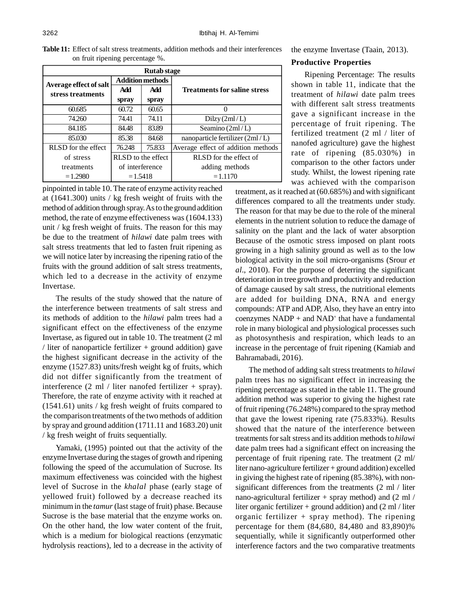| on fruit ripening percentage %. |                         |                                     |  |  |  |
|---------------------------------|-------------------------|-------------------------------------|--|--|--|
| <b>Rutab</b> stage              |                         |                                     |  |  |  |
| Average effect of salt          | <b>Addition methods</b> |                                     |  |  |  |
| stress treatments               | Add                     | <b>Treatments for saline stress</b> |  |  |  |

**Table 11:** Effect of salt stress treatments, addition methods and their interferences

| Kutab stage                                 |                         |        |                                     |  |  |  |  |
|---------------------------------------------|-------------------------|--------|-------------------------------------|--|--|--|--|
| Average effect of salt<br>stress treatments | <b>Addition methods</b> |        |                                     |  |  |  |  |
|                                             | Add                     | Add    | <b>Treatments for saline stress</b> |  |  |  |  |
|                                             | spray                   | spray  |                                     |  |  |  |  |
| 60.685                                      | 60.72                   | 60.65  |                                     |  |  |  |  |
| 74.260                                      | 74.41                   | 74.11  | Dilzy(2ml/L)                        |  |  |  |  |
| 84.185                                      | 84.48                   | 83.89  | Seamino $(2ml/L)$                   |  |  |  |  |
| 85.030                                      | 85.38                   | 84.68  | nanoparticle fertilizer (2ml/L)     |  |  |  |  |
| RLSD for the effect                         | 76.248                  | 75.833 | Average effect of addition methods  |  |  |  |  |
| of stress                                   | RLSD to the effect      |        | RLSD for the effect of              |  |  |  |  |
| treatments                                  | of interference         |        | adding methods                      |  |  |  |  |
| $=1.2980$                                   | $=1.5418$               |        | $=1.1170$                           |  |  |  |  |

pinpointed in table 10. The rate of enzyme activity reached at (1641.300) units / kg fresh weight of fruits with the method of addition through spray. As to the ground addition method, the rate of enzyme effectiveness was (1604.133) unit / kg fresh weight of fruits. The reason for this may be due to the treatment of *hilawi* date palm trees with salt stress treatments that led to fasten fruit ripening as we will notice later by increasing the ripening ratio of the fruits with the ground addition of salt stress treatments, which led to a decrease in the activity of enzyme Invertase.

The results of the study showed that the nature of the interference between treatments of salt stress and its methods of addition to the *hilawi* palm trees had a significant effect on the effectiveness of the enzyme Invertase, as figured out in table 10. The treatment (2 ml / liter of nanoparticle fertilizer  $+$  ground addition) gave the highest significant decrease in the activity of the enzyme (1527.83) units/fresh weight kg of fruits, which did not differ significantly from the treatment of interference  $(2 \text{ ml } / \text{ liter }$  nanofed fertilizer + spray). Therefore, the rate of enzyme activity with it reached at (1541.61) units / kg fresh weight of fruits compared to the comparison treatments of the two methods of addition by spray and ground addition (1711.11 and 1683.20) unit / kg fresh weight of fruits sequentially.

Yamaki, (1995) pointed out that the activity of the enzyme Invertase during the stages of growth and ripening following the speed of the accumulation of Sucrose. Its maximum effectiveness was coincided with the highest level of Sucrose in the *khalal* phase (early stage of yellowed fruit) followed by a decrease reached its minimum in the *tamur* (last stage of fruit) phase. Because Sucrose is the base material that the enzyme works on. On the other hand, the low water content of the fruit, which is a medium for biological reactions (enzymatic hydrolysis reactions), led to a decrease in the activity of

the enzyme Invertase (Taain, 2013).

#### **Productive Properties**

Ripening Percentage: The results shown in table 11, indicate that the treatment of *hilawi* date palm trees with different salt stress treatments gave a significant increase in the percentage of fruit ripening. The fertilized treatment (2 ml / liter of nanofed agriculture) gave the highest rate of ripening (85.030%) in comparison to the other factors under study. Whilst, the lowest ripening rate was achieved with the comparison

treatment, as it reached at (60.685%) and with significant differences compared to all the treatments under study. The reason for that may be due to the role of the mineral elements in the nutrient solution to reduce the damage of salinity on the plant and the lack of water absorption Because of the osmotic stress imposed on plant roots growing in a high salinity ground as well as to the low biological activity in the soil micro-organisms (Srour *et al*., 2010). For the purpose of deterring the significant deterioration in tree growth and productivity and reduction of damage caused by salt stress, the nutritional elements are added for building DNA, RNA and energy compounds: ATP and ADP, Also, they have an entry into  $coenzymes NADP + and NAD<sup>+</sup> that have a fundamental$ role in many biological and physiological processes such as photosynthesis and respiration, which leads to an increase in the percentage of fruit ripening (Kamiab and Bahramabadi, 2016).

The method of adding salt stress treatments to *hilawi* palm trees has no significant effect in increasing the ripening percentage as stated in the table 11. The ground addition method was superior to giving the highest rate of fruit ripening (76.248%) compared to the spray method that gave the lowest ripening rate (75.833%). Results showed that the nature of the interference between treatments for salt stress and its addition methods to *hilawi* date palm trees had a significant effect on increasing the percentage of fruit ripening rate. The treatment (2 ml/ liter nano-agriculture fertilizer + ground addition) excelled in giving the highest rate of ripening (85.38%), with nonsignificant differences from the treatments (2 ml / liter nano-agricultural fertilizer  $+$  spray method) and (2 ml / liter organic fertilizer + ground addition) and (2 ml / liter organic fertilizer  $+$  spray method). The ripening percentage for them (84,680, 84,480 and 83,890)% sequentially, while it significantly outperformed other interference factors and the two comparative treatments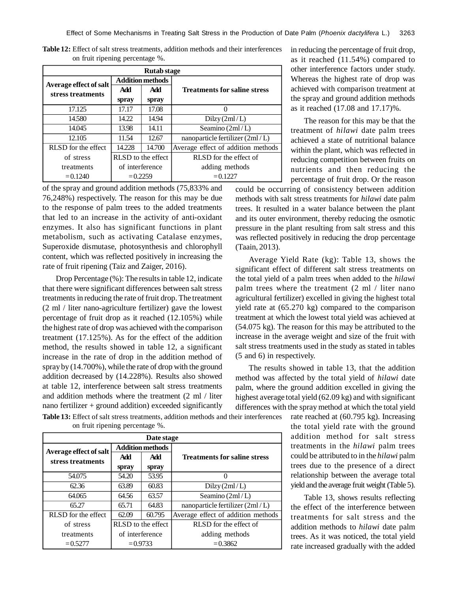| <b>Rutab</b> stage     |                         |        |                                     |  |  |  |  |
|------------------------|-------------------------|--------|-------------------------------------|--|--|--|--|
| Average effect of salt | <b>Addition methods</b> |        |                                     |  |  |  |  |
| stress treatments      | <b>Add</b>              | Add    | <b>Treatments for saline stress</b> |  |  |  |  |
|                        | spray                   | spray  |                                     |  |  |  |  |
| 17.125                 | 17.17                   | 17.08  |                                     |  |  |  |  |
| 14.580                 | 14.22                   | 14.94  | Dilzy(2ml/L)                        |  |  |  |  |
| 14.045                 | 13.98                   | 14.11  | Seamino (2ml/L)                     |  |  |  |  |
| 12.105                 | 11.54                   | 12.67  | nanoparticle fertilizer (2ml/L)     |  |  |  |  |
| RLSD for the effect    | 14.228                  | 14.700 | Average effect of addition methods  |  |  |  |  |
| of stress              | RLSD to the effect      |        | RLSD for the effect of              |  |  |  |  |
| treatments             | of interference         |        | adding methods                      |  |  |  |  |
| $= 0.1240$             | $= 0.2259$              |        | $= 0.1227$                          |  |  |  |  |

**Table 12:** Effect of salt stress treatments, addition methods and their interferences on fruit ripening percentage %.

of the spray and ground addition methods (75,833% and 76,248%) respectively. The reason for this may be due to the response of palm trees to the added treatments that led to an increase in the activity of anti-oxidant enzymes. It also has significant functions in plant metabolism, such as activating Catalase enzymes, Superoxide dismutase, photosynthesis and chlorophyll content, which was reflected positively in increasing the rate of fruit ripening (Taiz and Zaiger, 2016).

Drop Percentage (%): The results in table 12, indicate that there were significant differences between salt stress treatments in reducing the rate of fruit drop. The treatment (2 ml / liter nano-agriculture fertilizer) gave the lowest percentage of fruit drop as it reached (12.105%) while the highest rate of drop was achieved with the comparison treatment (17.125%). As for the effect of the addition method, the results showed in table 12, a significant increase in the rate of drop in the addition method of spray by (14.700%), while the rate of drop with the ground addition decreased by (14.228%). Results also showed at table 12, interference between salt stress treatments and addition methods where the treatment (2 ml / liter nano fertilizer  $+$  ground addition) exceeded significantly in reducing the percentage of fruit drop, as it reached (11.54%) compared to other interference factors under study. Whereas the highest rate of drop was achieved with comparison treatment at the spray and ground addition methods as it reached (17.08 and 17.17)%.

The reason for this may be that the treatment of *hilawi* date palm trees achieved a state of nutritional balance within the plant, which was reflected in reducing competition between fruits on nutrients and then reducing the percentage of fruit drop. Or the reason

could be occurring of consistency between addition methods with salt stress treatments for *hilawi* date palm trees. It resulted in a water balance between the plant and its outer environment, thereby reducing the osmotic pressure in the plant resulting from salt stress and this was reflected positively in reducing the drop percentage (Taain, 2013).

Average Yield Rate (kg): Table 13, shows the significant effect of different salt stress treatments on the total yield of a palm trees when added to the *hilawi* palm trees where the treatment (2 ml / liter nano agricultural fertilizer) excelled in giving the highest total yield rate at (65.270 kg) compared to the comparison treatment at which the lowest total yield was achieved at (54.075 kg). The reason for this may be attributed to the increase in the average weight and size of the fruit with salt stress treatments used in the study as stated in tables (5 and 6) in respectively.

The results showed in table 13, that the addition method was affected by the total yield of *hilawi* date palm, where the ground addition excelled in giving the highest average total yield (62.09 kg) and with significant differences with the spray method at which the total yield

**Table 13:** Effect of salt stress treatments, addition methods and their interferences on fruit ripening percentage %.

| Date stage                                  |                         |        |                                     |  |  |  |  |
|---------------------------------------------|-------------------------|--------|-------------------------------------|--|--|--|--|
| Average effect of salt<br>stress treatments | <b>Addition methods</b> |        |                                     |  |  |  |  |
|                                             | Add                     | Add    | <b>Treatments for saline stress</b> |  |  |  |  |
|                                             | spray                   | spray  |                                     |  |  |  |  |
| 54.075                                      | 54.20                   | 53.95  | $\Omega$                            |  |  |  |  |
| 62.36                                       | 63.89                   | 60.83  | Dilzy(2ml/L)                        |  |  |  |  |
| 64.065                                      | 64.56                   | 63.57  | Seamino (2ml/L)                     |  |  |  |  |
| 65.27                                       | 65.71                   | 64.83  | nanoparticle fertilizer (2ml/L)     |  |  |  |  |
| RLSD for the effect                         | 62.09                   | 60.795 | Average effect of addition methods  |  |  |  |  |
| of stress                                   | RLSD to the effect      |        | RLSD for the effect of              |  |  |  |  |
| treatments                                  | of interference         |        | adding methods                      |  |  |  |  |
| $= 0.5277$                                  | $= 0.9733$              |        | $= 0.3862$                          |  |  |  |  |

rate reached at (60.795 kg). Increasing the total yield rate with the ground addition method for salt stress treatments in the *hilawi* palm trees could be attributed to in the *hilawi* palm trees due to the presence of a direct relationship between the average total yield and the average fruit weight (Table 5).

Table 13, shows results reflecting the effect of the interference between treatments for salt stress and the addition methods to *hilawi* date palm trees. As it was noticed, the total yield rate increased gradually with the added